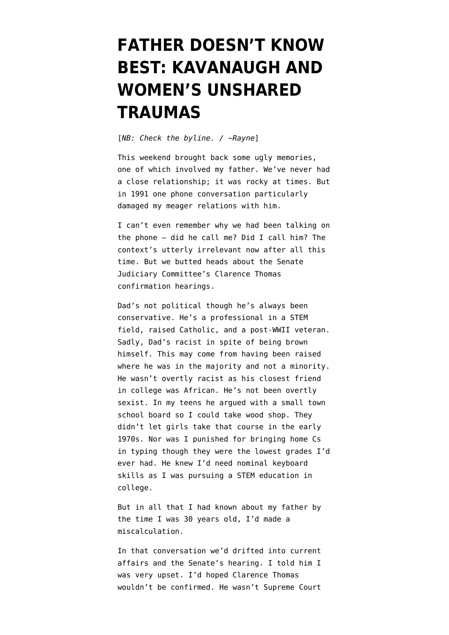## **[FATHER DOESN'T KNOW](https://www.emptywheel.net/2018/09/17/father-doesnt-know-best-kavanaugh-and-womens-unshared-traumas/) [BEST: KAVANAUGH AND](https://www.emptywheel.net/2018/09/17/father-doesnt-know-best-kavanaugh-and-womens-unshared-traumas/) [WOMEN'S UNSHARED](https://www.emptywheel.net/2018/09/17/father-doesnt-know-best-kavanaugh-and-womens-unshared-traumas/) [TRAUMAS](https://www.emptywheel.net/2018/09/17/father-doesnt-know-best-kavanaugh-and-womens-unshared-traumas/)**

[*NB: Check the byline. / ~Rayne*]

This weekend brought back some ugly memories, one of which involved my father. We've never had a close relationship; it was rocky at times. But in 1991 one phone conversation particularly damaged my meager relations with him.

I can't even remember why we had been talking on the phone — did he call me? Did I call him? The context's utterly irrelevant now after all this time. But we butted heads about the Senate Judiciary Committee's Clarence Thomas confirmation hearings.

Dad's not political though he's always been conservative. He's a professional in a STEM field, raised Catholic, and a post-WWII veteran. Sadly, Dad's racist in spite of being brown himself. This may come from having been raised where he was in the majority and not a minority. He wasn't overtly racist as his closest friend in college was African. He's not been overtly sexist. In my teens he argued with a small town school board so I could take wood shop. They didn't let girls take that course in the early 1970s. Nor was I punished for bringing home Cs in typing though they were the lowest grades I'd ever had. He knew I'd need nominal keyboard skills as I was pursuing a STEM education in college.

But in all that I had known about my father by the time I was 30 years old, I'd made a miscalculation.

In that conversation we'd drifted into current affairs and the Senate's hearing. I told him I was very upset. I'd hoped Clarence Thomas wouldn't be confirmed. He wasn't Supreme Court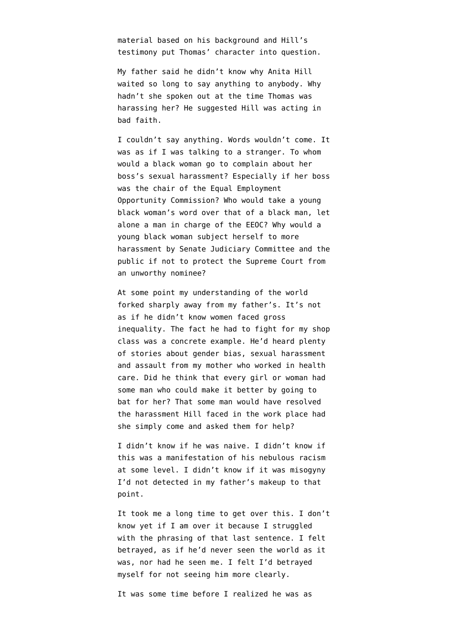material based on his background and Hill's testimony put Thomas' character into question.

My father said he didn't know why Anita Hill waited so long to say anything to anybody. Why hadn't she spoken out at the time Thomas was harassing her? He suggested Hill was acting in bad faith.

I couldn't say anything. Words wouldn't come. It was as if I was talking to a stranger. To whom would a black woman go to complain about her boss's sexual harassment? Especially if her boss was the chair of the Equal Employment Opportunity Commission? Who would take a young black woman's word over that of a black man, let alone a man in charge of the EEOC? Why would a young black woman subject herself to more harassment by Senate Judiciary Committee and the public if not to protect the Supreme Court from an unworthy nominee?

At some point my understanding of the world forked sharply away from my father's. It's not as if he didn't know women faced gross inequality. The fact he had to fight for my shop class was a concrete example. He'd heard plenty of stories about gender bias, sexual harassment and assault from my mother who worked in health care. Did he think that every girl or woman had some man who could make it better by going to bat for her? That some man would have resolved the harassment Hill faced in the work place had she simply come and asked them for help?

I didn't know if he was naive. I didn't know if this was a manifestation of his nebulous racism at some level. I didn't know if it was misogyny I'd not detected in my father's makeup to that point.

It took me a long time to get over this. I don't know yet if I am over it because I struggled with the phrasing of that last sentence. I felt betrayed, as if he'd never seen the world as it was, nor had he seen me. I felt I'd betrayed myself for not seeing him more clearly.

It was some time before I realized he was as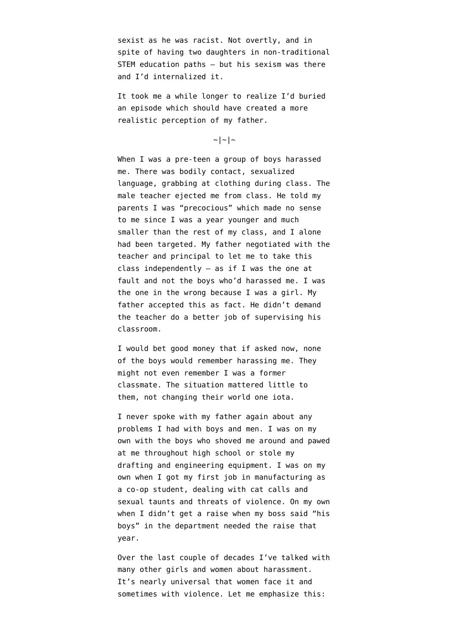sexist as he was racist. Not overtly, and in spite of having two daughters in non-traditional STEM education paths — but his sexism was there and I'd internalized it.

It took me a while longer to realize I'd buried an episode which should have created a more realistic perception of my father.

 $\sim$ | ~ | ~

When I was a pre-teen a group of boys harassed me. There was bodily contact, sexualized language, grabbing at clothing during class. The male teacher ejected me from class. He told my parents I was "precocious" which made no sense to me since I was a year younger and much smaller than the rest of my class, and I alone had been targeted. My father negotiated with the teacher and principal to let me to take this class independently  $-$  as if I was the one at fault and not the boys who'd harassed me. I was the one in the wrong because I was a girl. My father accepted this as fact. He didn't demand the teacher do a better job of supervising his classroom.

I would bet good money that if asked now, [none](https://twitter.com/debcha/status/1041413126988746757) [of the boys would remember harassing me.](https://twitter.com/debcha/status/1041413126988746757) They might not even remember I was a former classmate. The situation mattered little to them, not changing their world one iota.

I never spoke with my father again about any problems I had with boys and men. I was on my own with the boys who shoved me around and pawed at me throughout high school or stole my drafting and engineering equipment. I was on my own when I got my first job in manufacturing as a co-op student, dealing with cat calls and sexual taunts and threats of violence. On my own when I didn't get a raise when my boss said "his boys" in the department needed the raise that year.

Over the last couple of decades I've talked with many other girls and women about harassment. It's nearly universal that women face it and sometimes with violence. Let me emphasize this: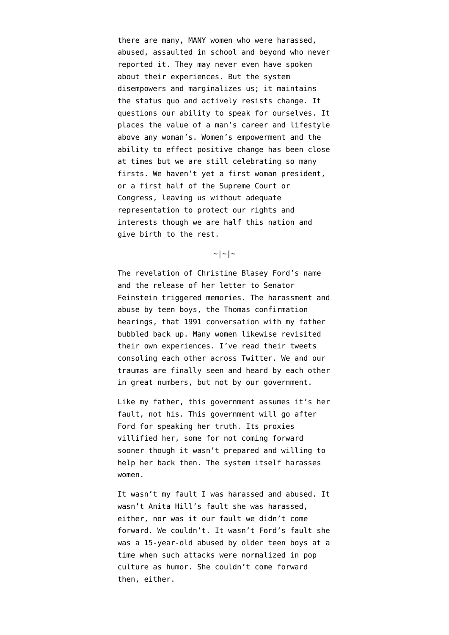there are many, MANY women who were harassed, abused, assaulted in school and beyond who never reported it. They may never even have spoken about their experiences. But the system disempowers and marginalizes us; it maintains the status quo and actively resists change. It questions our ability to speak for ourselves. It places the value of a man's career and lifestyle above any woman's. Women's empowerment and the ability to effect positive change has been close at times but we are still celebrating so many firsts. We haven't yet a first woman president, or a first half of the Supreme Court or Congress, leaving us without adequate representation to protect our rights and interests though we are half this nation and give birth to the rest.

## $\sim$ | ~ | ~

The revelation of Christine Blasey Ford's name and the release of her letter to Senator Feinstein triggered memories. The harassment and abuse by teen boys, the Thomas confirmation hearings, that 1991 conversation with my father bubbled back up. Many women likewise [revisited](https://twitter.com/texasinafrica/status/1041399957071298560) [their own experiences](https://twitter.com/texasinafrica/status/1041399957071298560). I've read their tweets consoling each other across Twitter. We and our traumas are finally seen and heard by each other in great numbers, but not by our government.

Like my father, this government assumes it's her fault, not his. This government [will go after](https://twitter.com/KFILE/status/1041416700212797440) [Ford](https://twitter.com/KFILE/status/1041416700212797440) for speaking her truth. Its proxies [villified her](https://www.huffingtonpost.com/entry/donald-trump-jr-posts-meme-mocking-woman-accusing-brett-kavanaugh-of-sexual-assault_us_5b9f996ee4b013b0977cc464), some for not coming forward sooner though it wasn't prepared and willing to help her back then. [The system itself harasses](https://twitter.com/yashar/status/1041420446464397313) [women](https://twitter.com/yashar/status/1041420446464397313).

It wasn't my fault I was harassed and abused. It wasn't Anita Hill's fault she was harassed, either, nor was it our fault we didn't come forward. We couldn't. It wasn't Ford's fault she was a 15-year-old abused by older teen boys at a time when such attacks were [normalized in pop](https://www.newyorker.com/culture/personal-history/what-about-the-breakfast-club-molly-ringwald-metoo-john-hughes-pretty-in-pink) [culture as humor.](https://www.newyorker.com/culture/personal-history/what-about-the-breakfast-club-molly-ringwald-metoo-john-hughes-pretty-in-pink) She couldn't come forward then, either.